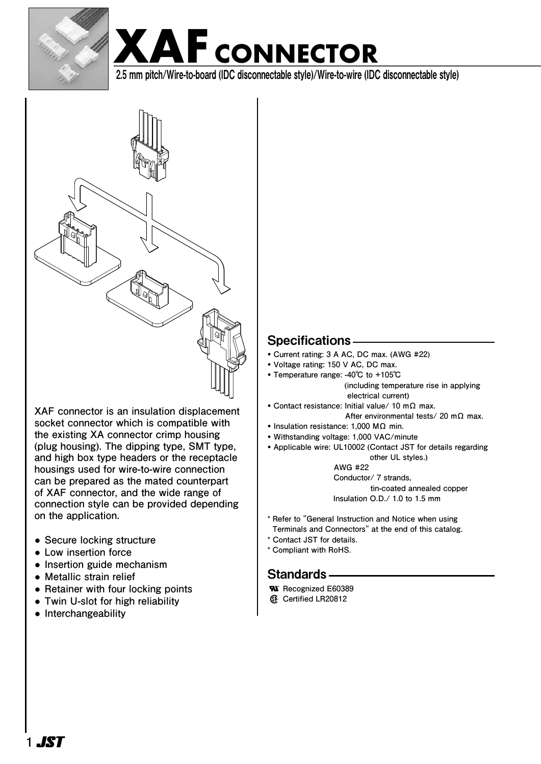



2.5 mm pitch/Wire-to-board (IDC disconnectable style)/Wire-to-wire (IDC disconnectable style) 2.5 mm pitch/Wire-to-board (IDC disconnectable style)/Wire-to-wire (IDC disconnectable style)



**XAF connector is an insulation displacement socket connector which is compatible with the existing XA connector crimp housing (plug housing). The dipping type, SMT type, and high box type headers or the receptacle housings used for wire-to-wire connection can be prepared as the mated counterpart of XAF connector, and the wide range of connection style can be provided depending on the application.**

- **● Secure locking structure**
- **● Low insertion force**
- **● Insertion guide mechanism**
- **● Metallic strain relief**
- **● Retainer with four locking points ® ® ®**
- **● Twin U-slot for high reliability**
- **● Interchangeability**

## Specifications

- • **Current rating: 3 A AC, DC max. (AWG #22)**
- • **Voltage rating: 150 V AC, DC max.**
- • **Temperature range: -40℃ to +105℃ (including temperature rise in applying**
	- **electrical current)**
- • **Contact resistance: Initial value/ 10 mΩ max. After environmental tests/ 20 mΩ max.**
- • **Insulation resistance: 1,000 MΩ min.**
- • **Withstanding voltage: 1,000 VAC/minute**
- • **Applicable wire: UL10002 (Contact JST for details regarding other UL styles.)**

 **AWG #22 Conductor/ 7 strands, tin-coated annealed copper Insulation O.D./ 1.0 to 1.5 mm**

- **\* Refer to "General Instruction and Notice when using**
- **Terminals and Connectors" at the end of this catalog.**
- **\* Contact JST for details.**
- **\* Compliant with RoHS.**

## Standards

 **Recognized E60389 Certified LR20812**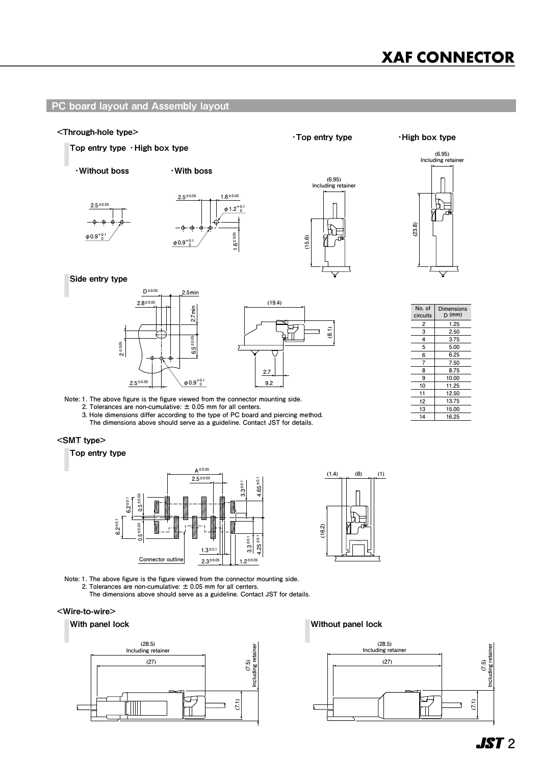# **XAF CONNECTOR**

#### PC board layout and Assembly layout

#### <Through-hole type>





 $\cdot$ Top entry type  $\cdot$  High box type



Side entry type





**1.25 2.50 3.75 5.00 6.25 7.50 8.75 10.00 11.25 12.50 13.75 15.00 16.25 2 3 4 5 6 7 8 9 10 11 12 13 14 No. of circuits Dimensions D (mm)**

**Note:  1. The above figure is the figure viewed from the connector mounting side. 2. Tolerances are non-cumulative: ± 0.05 mm for all centers. 3. Hole dimensions differ according to the type of PC board and piercing method.** 

 **The dimensions above should serve as a guideline. Contact JST for details.**

#### <SMT type>

Top entry type



**(1.4) (16.2) (8) (1)**

**Note:  1. The above figure is the figure viewed from the connector mounting side.**

 **2. Tolerances are non-cumulative: ± 0.05 mm for all centers.**

 **The dimensions above should serve as a guideline. Contact JST for details.**

#### <Wire-to-wire>